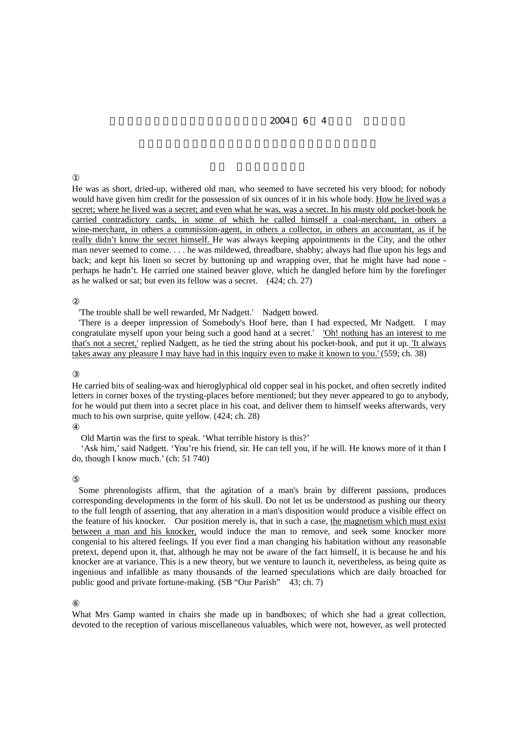## $2004 \t 6 \t 4$

He was as short, dried-up, withered old man, who seemed to have secreted his very blood; for nobody would have given him credit for the possession of six ounces of it in his whole body. How he lived was a secret; where he lived was a secret; and even what he was, was a secret. In his musty old pocket-book he carried contradictory cards, in some of which he called himself a coal-merchant, in others a wine-merchant, in others a commission-agent, in others a collector, in others an accountant, as if he really didn't know the secret himself. He was always keeping appointments in the City, and the other man never seemed to come. . . . he was mildewed, threadbare, shabby; always had flue upon his legs and back; and kept his linen so secret by buttoning up and wrapping over, that he might have had none perhaps he hadn't. He carried one stained beaver glove, which he dangled before him by the forefinger as he walked or sat; but even its fellow was a secret. (424; ch. 27)

'The trouble shall be well rewarded, Mr Nadgett.' Nadgett bowed.

'There is a deeper impression of Somebody's Hoof here, than I had expected, Mr Nadgett. I may congratulate myself upon your being such a good hand at a secret.' 'Oh! nothing has an interest to me that's not a secret,' replied Nadgett, as he tied the string about his pocket-book, and put it up. 'It always takes away any pleasure I may have had in this inquiry even to make it known to you.' (559; ch. 38)

He carried bits of sealing-wax and hieroglyphical old copper seal in his pocket, and often secretly indited letters in corner boxes of the trysting-places before mentioned; but they never appeared to go to anybody, for he would put them into a secret place in his coat, and deliver them to himself weeks afterwards, very much to his own surprise, quite yellow. (424; ch. 28)

Old Martin was the first to speak. 'What terrible history is this?'

 'Ask him,' said Nadgett. 'You're his friend, sir. He can tell you, if he will. He knows more of it than I do, though I know much.' (ch: 51 740)

Some phrenologists affirm, that the agitation of a man's brain by different passions, produces corresponding developments in the form of his skull. Do not let us be understood as pushing our theory to the full length of asserting, that any alteration in a man's disposition would produce a visible effect on the feature of his knocker. Our position merely is, that in such a case, the magnetism which must exist between a man and his knocker, would induce the man to remove, and seek some knocker more congenial to his altered feelings. If you ever find a man changing his habitation without any reasonable pretext, depend upon it, that, although he may not be aware of the fact himself, it is because he and his knocker are at variance. This is a new theory, but we venture to launch it, nevertheless, as being quite as ingenious and infallible as many thousands of the learned speculations which are daily broached for public good and private fortune-making. (SB "Our Parish" 43; ch. 7)

What Mrs Gamp wanted in chairs she made up in bandboxes; of which she had a great collection, devoted to the reception of various miscellaneous valuables, which were not, however, as well protected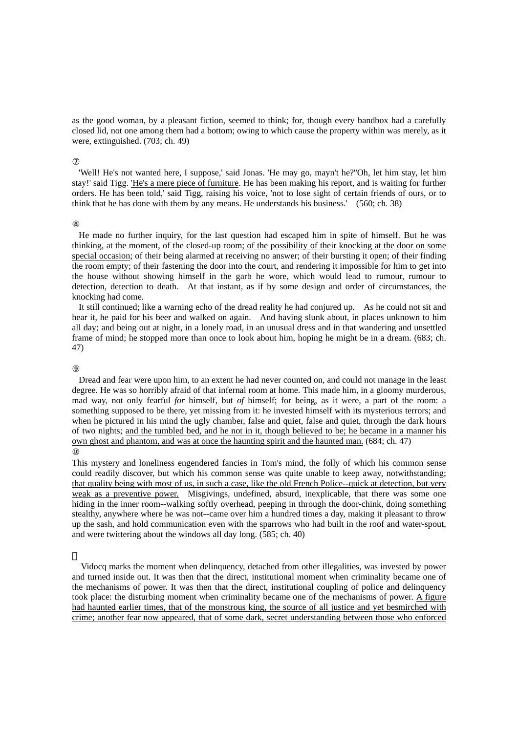as the good woman, by a pleasant fiction, seemed to think; for, though every bandbox had a carefully closed lid, not one among them had a bottom; owing to which cause the property within was merely, as it were, extinguished. (703; ch. 49)

'Well! He's not wanted here, I suppose,' said Jonas. 'He may go, mayn't he?''Oh, let him stay, let him stay!' said Tigg. 'He's a mere piece of furniture. He has been making his report, and is waiting for further orders. He has been told,' said Tigg, raising his voice, 'not to lose sight of certain friends of ours, or to think that he has done with them by any means. He understands his business.' (560; ch. 38)

He made no further inquiry, for the last question had escaped him in spite of himself. But he was thinking, at the moment, of the closed-up room; of the possibility of their knocking at the door on some special occasion; of their being alarmed at receiving no answer; of their bursting it open; of their finding the room empty; of their fastening the door into the court, and rendering it impossible for him to get into the house without showing himself in the garb he wore, which would lead to rumour, rumour to detection, detection to death. At that instant, as if by some design and order of circumstances, the knocking had come.

It still continued; like a warning echo of the dread reality he had conjured up. As he could not sit and hear it, he paid for his beer and walked on again. And having slunk about, in places unknown to him all day; and being out at night, in a lonely road, in an unusual dress and in that wandering and unsettled frame of mind; he stopped more than once to look about him, hoping he might be in a dream. (683; ch. 47)

Dread and fear were upon him, to an extent he had never counted on, and could not manage in the least degree. He was so horribly afraid of that infernal room at home. This made him, in a gloomy murderous, mad way, not only fearful *for* himself, but *of* himself; for being, as it were, a part of the room: a something supposed to be there, yet missing from it: he invested himself with its mysterious terrors; and when he pictured in his mind the ugly chamber, false and quiet, false and quiet, through the dark hours of two nights; and the tumbled bed, and he not in it, though believed to be; he became in a manner his own ghost and phantom, and was at once the haunting spirit and the haunted man. (684; ch. 47)

This mystery and loneliness engendered fancies in Tom's mind, the folly of which his common sense could readily discover, but which his common sense was quite unable to keep away, notwithstanding; that quality being with most of us, in such a case, like the old French Police--quick at detection, but very weak as a preventive power. Misgivings, undefined, absurd, inexplicable, that there was some one hiding in the inner room--walking softly overhead, peeping in through the door-chink, doing something stealthy, anywhere where he was not--came over him a hundred times a day, making it pleasant to throw up the sash, and hold communication even with the sparrows who had built in the roof and water-spout, and were twittering about the windows all day long. (585; ch. 40)

 Vidocq marks the moment when delinquency, detached from other illegalities, was invested by power and turned inside out. It was then that the direct, institutional moment when criminality became one of the mechanisms of power. It was then that the direct, institutional coupling of police and delinquency took place: the disturbing moment when criminality became one of the mechanisms of power. A figure had haunted earlier times, that of the monstrous king, the source of all justice and yet besmirched with crime; another fear now appeared, that of some dark, secret understanding between those who enforced